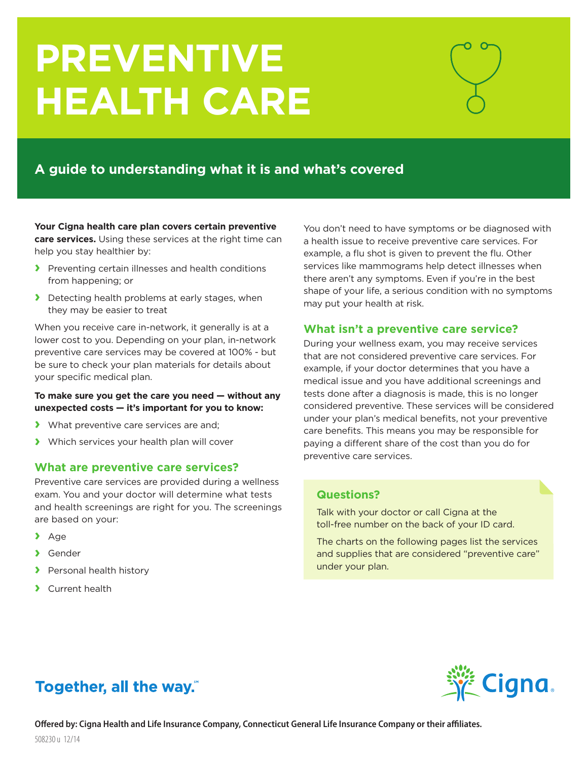# **PREVENTIVE HEALTH CARE**

# **A guide to understanding what it is and what's covered**

**Your Cigna health care plan covers certain preventive care services.** Using these services at the right time can help you stay healthier by:

- **›** Preventing certain illnesses and health conditions from happening; or
- **›** Detecting health problems at early stages, when they may be easier to treat

When you receive care in-network, it generally is at a lower cost to you. Depending on your plan, in-network preventive care services may be covered at 100% - but be sure to check your plan materials for details about your specific medical plan.

### **To make sure you get the care you need — without any unexpected costs — it's important for you to know:**

- **›** What preventive care services are and;
- **›** Which services your health plan will cover

# **What are preventive care services?**

Preventive care services are provided during a wellness exam. You and your doctor will determine what tests and health screenings are right for you. The screenings are based on your:

- **›** Age
- **›** Gender
- **›** Personal health history
- **›** Current health

You don't need to have symptoms or be diagnosed with a health issue to receive preventive care services. For example, a flu shot is given to prevent the flu. Other services like mammograms help detect illnesses when there aren't any symptoms. Even if you're in the best shape of your life, a serious condition with no symptoms may put your health at risk.

# **What isn't a preventive care service?**

During your wellness exam, you may receive services that are not considered preventive care services. For example, if your doctor determines that you have a medical issue and you have additional screenings and tests done after a diagnosis is made, this is no longer considered preventive. These services will be considered under your plan's medical benefits, not your preventive care benefits. This means you may be responsible for paying a different share of the cost than you do for preventive care services.

# **Questions?**

Talk with your doctor or call Cigna at the toll-free number on the back of your ID card.

The charts on the following pages list the services and supplies that are considered "preventive care" under your plan.

# **Together, all the way.**"

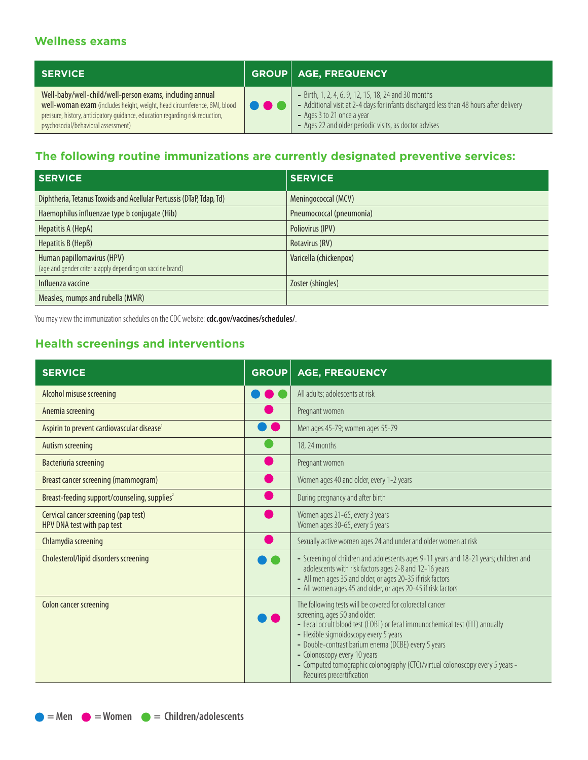# **Wellness exams**

| <b>SERVICE</b>                                                                                                                                                                                                                                               |        | <b>GROUP AGE, FREQUENCY</b>                                                                                                                                                                                                             |
|--------------------------------------------------------------------------------------------------------------------------------------------------------------------------------------------------------------------------------------------------------------|--------|-----------------------------------------------------------------------------------------------------------------------------------------------------------------------------------------------------------------------------------------|
| Well-baby/well-child/well-person exams, including annual<br>well-woman exam (includes height, weight, head circumference, BMI, blood<br>pressure, history, anticipatory guidance, education regarding risk reduction,<br>psychosocial/behavioral assessment) | 88 Q C | - Birth, 1, 2, 4, 6, 9, 12, 15, 18, 24 and 30 months<br>- Additional visit at 2-4 days for infants discharged less than 48 hours after delivery<br>- Ages 3 to 21 once a year<br>- Ages 22 and older periodic visits, as doctor advises |

# **The following routine immunizations are currently designated preventive services:**

| <b>SERVICE</b>                                                                           | <b>SERVICE</b>           |
|------------------------------------------------------------------------------------------|--------------------------|
| Diphtheria, Tetanus Toxoids and Acellular Pertussis (DTaP, Tdap, Td)                     | Meningococcal (MCV)      |
| Haemophilus influenzae type b conjugate (Hib)                                            | Pneumococcal (pneumonia) |
| Hepatitis A (HepA)                                                                       | Poliovirus (IPV)         |
| Hepatitis B (HepB)                                                                       | Rotavirus (RV)           |
| Human papillomavirus (HPV)<br>(age and gender criteria apply depending on vaccine brand) | Varicella (chickenpox)   |
| Influenza vaccine                                                                        | Zoster (shingles)        |
| Measles, mumps and rubella (MMR)                                                         |                          |

You may view the immunization schedules on the CDC website: **cdc.gov/vaccines/schedules/**.

# **Health screenings and interventions**

| <b>SERVICE</b>                                                     | <b>GROUP</b> | <b>AGE, FREQUENCY</b>                                                                                                                                                                                                                                                                                                                                                                                                     |
|--------------------------------------------------------------------|--------------|---------------------------------------------------------------------------------------------------------------------------------------------------------------------------------------------------------------------------------------------------------------------------------------------------------------------------------------------------------------------------------------------------------------------------|
| Alcohol misuse screening                                           |              | All adults; adolescents at risk                                                                                                                                                                                                                                                                                                                                                                                           |
| Anemia screening                                                   |              | Pregnant women                                                                                                                                                                                                                                                                                                                                                                                                            |
| Aspirin to prevent cardiovascular disease <sup>1</sup>             |              | Men ages 45-79; women ages 55-79                                                                                                                                                                                                                                                                                                                                                                                          |
| Autism screening                                                   |              | 18, 24 months                                                                                                                                                                                                                                                                                                                                                                                                             |
| Bacteriuria screening                                              |              | Pregnant women                                                                                                                                                                                                                                                                                                                                                                                                            |
| Breast cancer screening (mammogram)                                |              | Women ages 40 and older, every 1-2 years                                                                                                                                                                                                                                                                                                                                                                                  |
| Breast-feeding support/counseling, supplies <sup>2</sup>           |              | During pregnancy and after birth                                                                                                                                                                                                                                                                                                                                                                                          |
| Cervical cancer screening (pap test)<br>HPV DNA test with pap test |              | Women ages 21-65, every 3 years<br>Women ages 30-65, every 5 years                                                                                                                                                                                                                                                                                                                                                        |
| Chlamydia screening                                                |              | Sexually active women ages 24 and under and older women at risk                                                                                                                                                                                                                                                                                                                                                           |
| Cholesterol/lipid disorders screening                              |              | - Screening of children and adolescents ages 9-11 years and 18-21 years; children and<br>adolescents with risk factors ages 2-8 and 12-16 years<br>- All men ages 35 and older, or ages 20-35 if risk factors<br>- All women ages 45 and older, or ages 20-45 if risk factors                                                                                                                                             |
| Colon cancer screening                                             |              | The following tests will be covered for colorectal cancer<br>screening, ages 50 and older:<br>- Fecal occult blood test (FOBT) or fecal immunochemical test (FIT) annually<br>- Flexible sigmoidoscopy every 5 years<br>- Double-contrast barium enema (DCBE) every 5 years<br>- Colonoscopy every 10 years<br>- Computed tomographic colonography (CTC)/virtual colonoscopy every 5 years -<br>Requires precertification |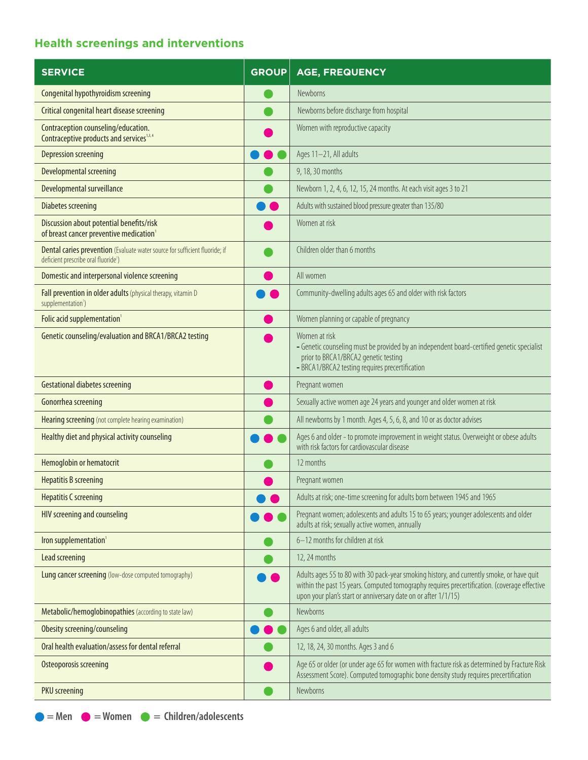# **Health screenings and interventions**

| <b>SERVICE</b>                                                                                                                  | <b>GROUP</b> | <b>AGE, FREQUENCY</b>                                                                                                                                                                                                                                       |
|---------------------------------------------------------------------------------------------------------------------------------|--------------|-------------------------------------------------------------------------------------------------------------------------------------------------------------------------------------------------------------------------------------------------------------|
| Congenital hypothyroidism screening                                                                                             |              | Newborns                                                                                                                                                                                                                                                    |
| Critical congenital heart disease screening                                                                                     |              | Newborns before discharge from hospital                                                                                                                                                                                                                     |
| Contraception counseling/education.<br>Contraceptive products and services <sup>1,3,4</sup>                                     |              | Women with reproductive capacity                                                                                                                                                                                                                            |
| Depression screening                                                                                                            |              | Ages 11-21, All adults                                                                                                                                                                                                                                      |
| Developmental screening                                                                                                         |              | 9, 18, 30 months                                                                                                                                                                                                                                            |
| Developmental surveillance                                                                                                      |              | Newborn 1, 2, 4, 6, 12, 15, 24 months. At each visit ages 3 to 21                                                                                                                                                                                           |
| <b>Diabetes screening</b>                                                                                                       |              | Adults with sustained blood pressure greater than 135/80                                                                                                                                                                                                    |
| Discussion about potential benefits/risk<br>of breast cancer preventive medication <sup>1</sup>                                 |              | Women at risk                                                                                                                                                                                                                                               |
| Dental caries prevention (Evaluate water source for sufficient fluoride; if<br>deficient prescribe oral fluoride <sup>1</sup> ) |              | Children older than 6 months                                                                                                                                                                                                                                |
| Domestic and interpersonal violence screening                                                                                   |              | All women                                                                                                                                                                                                                                                   |
| Fall prevention in older adults (physical therapy, vitamin D<br>supplementation <sup>1</sup> )                                  |              | Community-dwelling adults ages 65 and older with risk factors                                                                                                                                                                                               |
| Folic acid supplementation <sup>1</sup>                                                                                         |              | Women planning or capable of pregnancy                                                                                                                                                                                                                      |
| Genetic counseling/evaluation and BRCA1/BRCA2 testing                                                                           |              | Women at risk<br>- Genetic counseling must be provided by an independent board-certified genetic specialist<br>prior to BRCA1/BRCA2 genetic testing<br>- BRCA1/BRCA2 testing requires precertification                                                      |
| <b>Gestational diabetes screening</b>                                                                                           |              | Pregnant women                                                                                                                                                                                                                                              |
| Gonorrhea screening                                                                                                             |              | Sexually active women age 24 years and younger and older women at risk                                                                                                                                                                                      |
| Hearing screening (not complete hearing examination)                                                                            |              | All newborns by 1 month. Ages 4, 5, 6, 8, and 10 or as doctor advises                                                                                                                                                                                       |
| Healthy diet and physical activity counseling                                                                                   |              | Ages 6 and older - to promote improvement in weight status. Overweight or obese adults<br>with risk factors for cardiovascular disease                                                                                                                      |
| Hemoglobin or hematocrit                                                                                                        |              | 12 months                                                                                                                                                                                                                                                   |
| <b>Hepatitis B screening</b>                                                                                                    |              | Pregnant women                                                                                                                                                                                                                                              |
| <b>Hepatitis C screening</b>                                                                                                    |              | Adults at risk; one-time screening for adults born between 1945 and 1965                                                                                                                                                                                    |
| HIV screening and counseling                                                                                                    |              | Pregnant women; adolescents and adults 15 to 65 years; younger adolescents and older<br>adults at risk; sexually active women, annually                                                                                                                     |
| Iron supplementation <sup>1</sup>                                                                                               |              | 6-12 months for children at risk                                                                                                                                                                                                                            |
| Lead screening                                                                                                                  |              | 12, 24 months                                                                                                                                                                                                                                               |
| Lung cancer screening (low-dose computed tomography)                                                                            |              | Adults ages 55 to 80 with 30 pack-year smoking history, and currently smoke, or have quit<br>within the past 15 years. Computed tomography requires precertification. (coverage effective<br>upon your plan's start or anniversary date on or after 1/1/15) |
| Metabolic/hemoglobinopathies (according to state law)                                                                           |              | Newborns                                                                                                                                                                                                                                                    |
| Obesity screening/counseling                                                                                                    |              | Ages 6 and older, all adults                                                                                                                                                                                                                                |
| Oral health evaluation/assess for dental referral                                                                               |              | 12, 18, 24, 30 months. Ages 3 and 6                                                                                                                                                                                                                         |
| <b>Osteoporosis screening</b>                                                                                                   |              | Age 65 or older (or under age 65 for women with fracture risk as determined by Fracture Risk<br>Assessment Score). Computed tomographic bone density study requires precertification                                                                        |
| <b>PKU</b> screening                                                                                                            |              | Newborns                                                                                                                                                                                                                                                    |